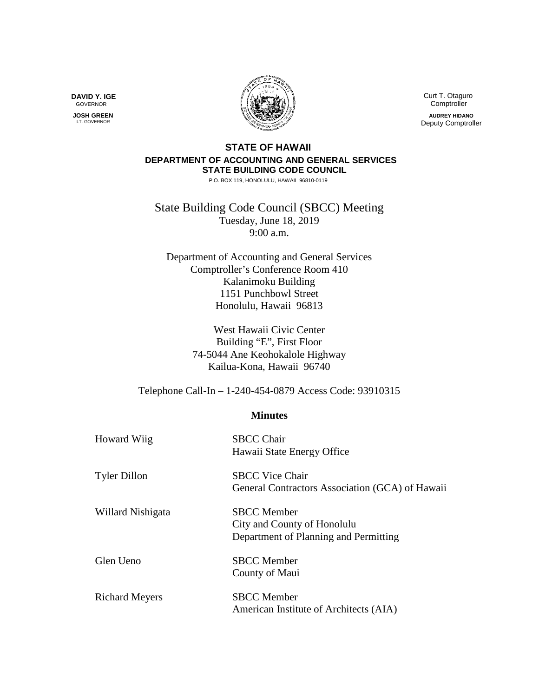

 Curt T. Otaguro Comptroller **AUDREY HIDANO** Deputy Comptroller

## **STATE OF HAWAII DEPARTMENT OF ACCOUNTING AND GENERAL SERVICES STATE BUILDING CODE COUNCIL**

P.O. BOX 119, HONOLULU, HAWAII 96810-0119

State Building Code Council (SBCC) Meeting Tuesday, June 18, 2019 9:00 a.m.

Department of Accounting and General Services Comptroller's Conference Room 410 Kalanimoku Building 1151 Punchbowl Street Honolulu, Hawaii 96813

> West Hawaii Civic Center Building "E", First Floor 74-5044 Ane Keohokalole Highway Kailua-Kona, Hawaii 96740

Telephone Call-In – 1-240-454-0879 Access Code: 93910315

## **Minutes**

| <b>Howard Wiig</b>    | <b>SBCC Chair</b><br>Hawaii State Energy Office                                            |
|-----------------------|--------------------------------------------------------------------------------------------|
| <b>Tyler Dillon</b>   | <b>SBCC Vice Chair</b><br>General Contractors Association (GCA) of Hawaii                  |
| Willard Nishigata     | <b>SBCC</b> Member<br>City and County of Honolulu<br>Department of Planning and Permitting |
| Glen Ueno             | <b>SBCC</b> Member<br>County of Maui                                                       |
| <b>Richard Meyers</b> | <b>SBCC</b> Member<br>American Institute of Architects (AIA)                               |

**DAVID Y. IGE** GOVERNOR

 **JOSH GREEN** LT. GOVERNOR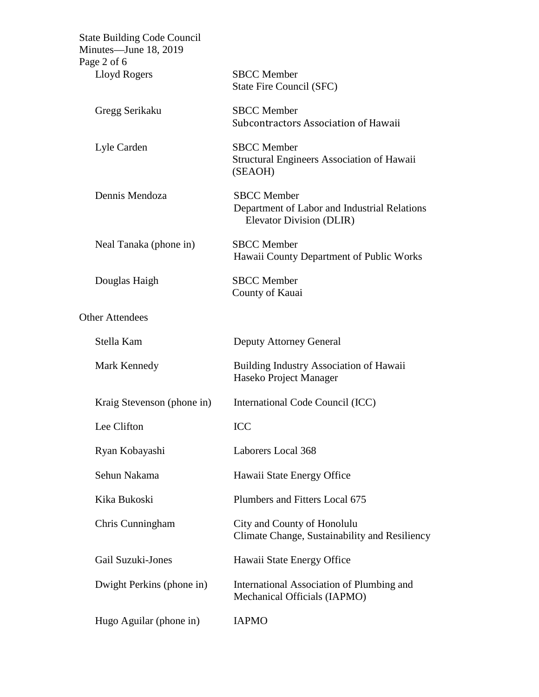| <b>State Building Code Council</b><br>Minutes-June 18, 2019<br>Page 2 of 6 |                                                                                                |
|----------------------------------------------------------------------------|------------------------------------------------------------------------------------------------|
| Lloyd Rogers                                                               | <b>SBCC</b> Member<br>State Fire Council (SFC)                                                 |
| Gregg Serikaku                                                             | <b>SBCC</b> Member<br>Subcontractors Association of Hawaii                                     |
| Lyle Carden                                                                | <b>SBCC</b> Member<br><b>Structural Engineers Association of Hawaii</b><br>(SEAOH)             |
| Dennis Mendoza                                                             | <b>SBCC</b> Member<br>Department of Labor and Industrial Relations<br>Elevator Division (DLIR) |
| Neal Tanaka (phone in)                                                     | <b>SBCC</b> Member<br>Hawaii County Department of Public Works                                 |
| Douglas Haigh                                                              | <b>SBCC</b> Member<br>County of Kauai                                                          |
| <b>Other Attendees</b>                                                     |                                                                                                |
| Stella Kam                                                                 | <b>Deputy Attorney General</b>                                                                 |
| Mark Kennedy                                                               | <b>Building Industry Association of Hawaii</b><br>Haseko Project Manager                       |
| Kraig Stevenson (phone in)                                                 | International Code Council (ICC)                                                               |
| Lee Clifton                                                                | ICC                                                                                            |
| Ryan Kobayashi                                                             | Laborers Local 368                                                                             |
| Sehun Nakama                                                               | Hawaii State Energy Office                                                                     |
| Kika Bukoski                                                               | Plumbers and Fitters Local 675                                                                 |
| Chris Cunningham                                                           | City and County of Honolulu<br>Climate Change, Sustainability and Resiliency                   |
| Gail Suzuki-Jones                                                          | Hawaii State Energy Office                                                                     |
| Dwight Perkins (phone in)                                                  | International Association of Plumbing and<br>Mechanical Officials (IAPMO)                      |
| Hugo Aguilar (phone in)                                                    | <b>IAPMO</b>                                                                                   |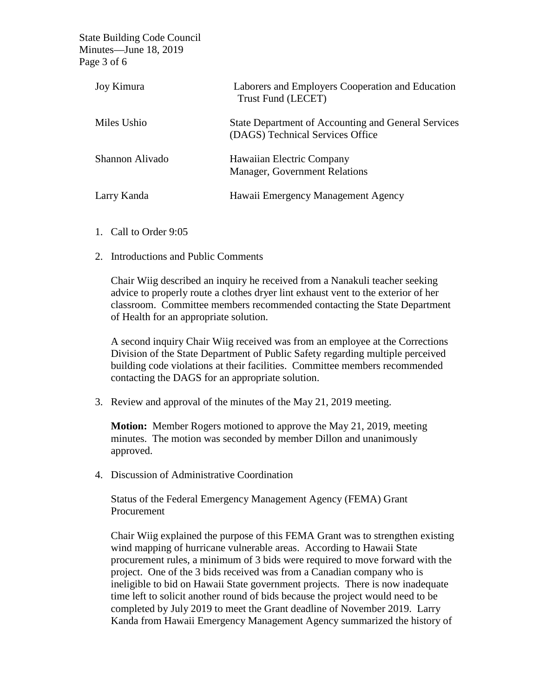State Building Code Council Minutes—June 18, 2019 Page 3 of 6

| Joy Kimura      | Laborers and Employers Cooperation and Education<br>Trust Fund (LECET)                  |
|-----------------|-----------------------------------------------------------------------------------------|
| Miles Ushio     | State Department of Accounting and General Services<br>(DAGS) Technical Services Office |
| Shannon Alivado | Hawaiian Electric Company<br><b>Manager, Government Relations</b>                       |
| Larry Kanda     | Hawaii Emergency Management Agency                                                      |

- 1. Call to Order 9:05
- 2. Introductions and Public Comments

Chair Wiig described an inquiry he received from a Nanakuli teacher seeking advice to properly route a clothes dryer lint exhaust vent to the exterior of her classroom. Committee members recommended contacting the State Department of Health for an appropriate solution.

A second inquiry Chair Wiig received was from an employee at the Corrections Division of the State Department of Public Safety regarding multiple perceived building code violations at their facilities. Committee members recommended contacting the DAGS for an appropriate solution.

3. Review and approval of the minutes of the May 21, 2019 meeting.

**Motion:** Member Rogers motioned to approve the May 21, 2019, meeting minutes. The motion was seconded by member Dillon and unanimously approved.

4. Discussion of Administrative Coordination

Status of the Federal Emergency Management Agency (FEMA) Grant Procurement

Chair Wiig explained the purpose of this FEMA Grant was to strengthen existing wind mapping of hurricane vulnerable areas. According to Hawaii State procurement rules, a minimum of 3 bids were required to move forward with the project. One of the 3 bids received was from a Canadian company who is ineligible to bid on Hawaii State government projects. There is now inadequate time left to solicit another round of bids because the project would need to be completed by July 2019 to meet the Grant deadline of November 2019. Larry Kanda from Hawaii Emergency Management Agency summarized the history of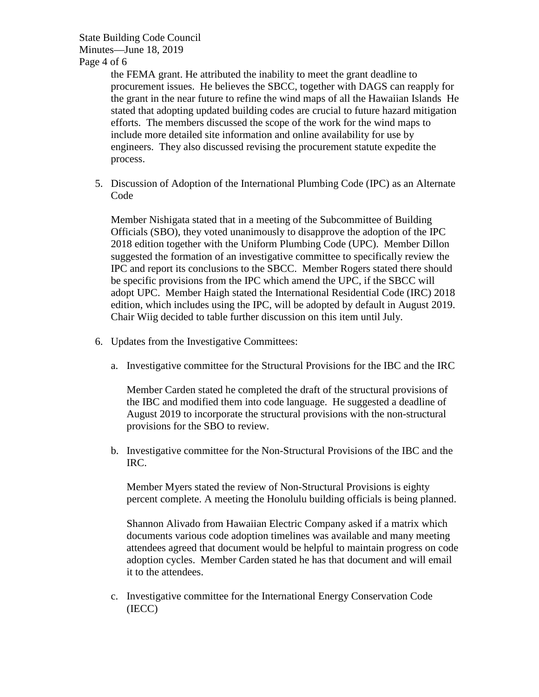State Building Code Council Minutes—June 18, 2019 Page 4 of 6

> the FEMA grant. He attributed the inability to meet the grant deadline to procurement issues. He believes the SBCC, together with DAGS can reapply for the grant in the near future to refine the wind maps of all the Hawaiian Islands He stated that adopting updated building codes are crucial to future hazard mitigation efforts. The members discussed the scope of the work for the wind maps to include more detailed site information and online availability for use by engineers. They also discussed revising the procurement statute expedite the process.

5. Discussion of Adoption of the International Plumbing Code (IPC) as an Alternate Code

Member Nishigata stated that in a meeting of the Subcommittee of Building Officials (SBO), they voted unanimously to disapprove the adoption of the IPC 2018 edition together with the Uniform Plumbing Code (UPC). Member Dillon suggested the formation of an investigative committee to specifically review the IPC and report its conclusions to the SBCC. Member Rogers stated there should be specific provisions from the IPC which amend the UPC, if the SBCC will adopt UPC. Member Haigh stated the International Residential Code (IRC) 2018 edition, which includes using the IPC, will be adopted by default in August 2019. Chair Wiig decided to table further discussion on this item until July.

- 6. Updates from the Investigative Committees:
	- a. Investigative committee for the Structural Provisions for the IBC and the IRC

Member Carden stated he completed the draft of the structural provisions of the IBC and modified them into code language. He suggested a deadline of August 2019 to incorporate the structural provisions with the non-structural provisions for the SBO to review.

b. Investigative committee for the Non-Structural Provisions of the IBC and the IRC.

Member Myers stated the review of Non-Structural Provisions is eighty percent complete. A meeting the Honolulu building officials is being planned.

Shannon Alivado from Hawaiian Electric Company asked if a matrix which documents various code adoption timelines was available and many meeting attendees agreed that document would be helpful to maintain progress on code adoption cycles. Member Carden stated he has that document and will email it to the attendees.

c. Investigative committee for the International Energy Conservation Code (IECC)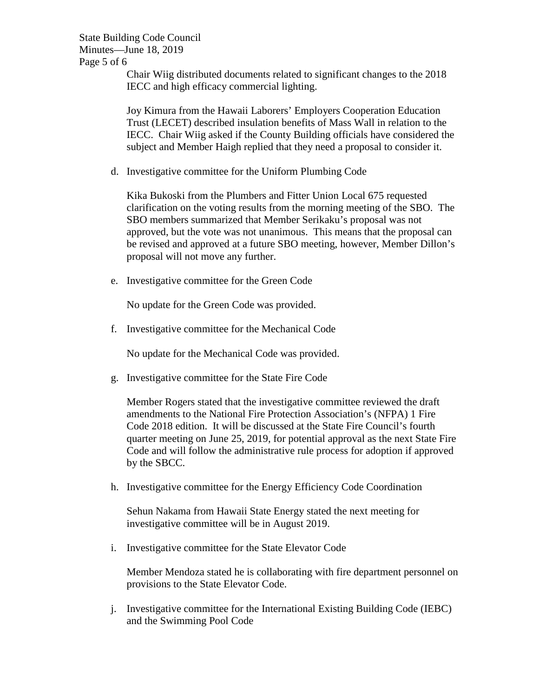State Building Code Council Minutes—June 18, 2019 Page 5 of 6

> Chair Wiig distributed documents related to significant changes to the 2018 IECC and high efficacy commercial lighting.

Joy Kimura from the Hawaii Laborers' Employers Cooperation Education Trust (LECET) described insulation benefits of Mass Wall in relation to the IECC. Chair Wiig asked if the County Building officials have considered the subject and Member Haigh replied that they need a proposal to consider it.

d. Investigative committee for the Uniform Plumbing Code

Kika Bukoski from the Plumbers and Fitter Union Local 675 requested clarification on the voting results from the morning meeting of the SBO. The SBO members summarized that Member Serikaku's proposal was not approved, but the vote was not unanimous. This means that the proposal can be revised and approved at a future SBO meeting, however, Member Dillon's proposal will not move any further.

e. Investigative committee for the Green Code

No update for the Green Code was provided.

f. Investigative committee for the Mechanical Code

No update for the Mechanical Code was provided.

g. Investigative committee for the State Fire Code

Member Rogers stated that the investigative committee reviewed the draft amendments to the National Fire Protection Association's (NFPA) 1 Fire Code 2018 edition. It will be discussed at the State Fire Council's fourth quarter meeting on June 25, 2019, for potential approval as the next State Fire Code and will follow the administrative rule process for adoption if approved by the SBCC.

h. Investigative committee for the Energy Efficiency Code Coordination

Sehun Nakama from Hawaii State Energy stated the next meeting for investigative committee will be in August 2019.

i. Investigative committee for the State Elevator Code

Member Mendoza stated he is collaborating with fire department personnel on provisions to the State Elevator Code.

j. Investigative committee for the International Existing Building Code (IEBC) and the Swimming Pool Code